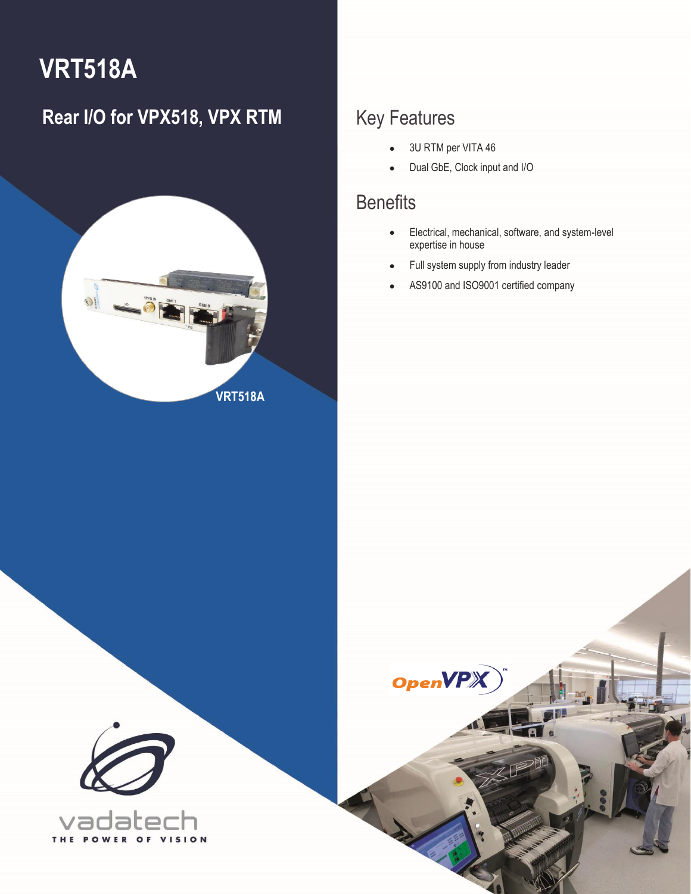# **VRT518A**

### **Rear I/O for VPX518, VPX RTM** Key Features



• 3U RTM per VITA 46

**OpenVP** 

• Dual GbE, Clock input and I/O

### **Benefits**

1 VRT518A – Rear I/O for VPX518, VPX RTM **[info@vadatech.com](mailto:info@vadatech.com) [| www.vadatech.com](www.vadatech.com)**

- Electrical, mechanical, software, and system-level expertise in house
- Full system supply from industry leader
- AS9100 and ISO9001 certified company



VISION T H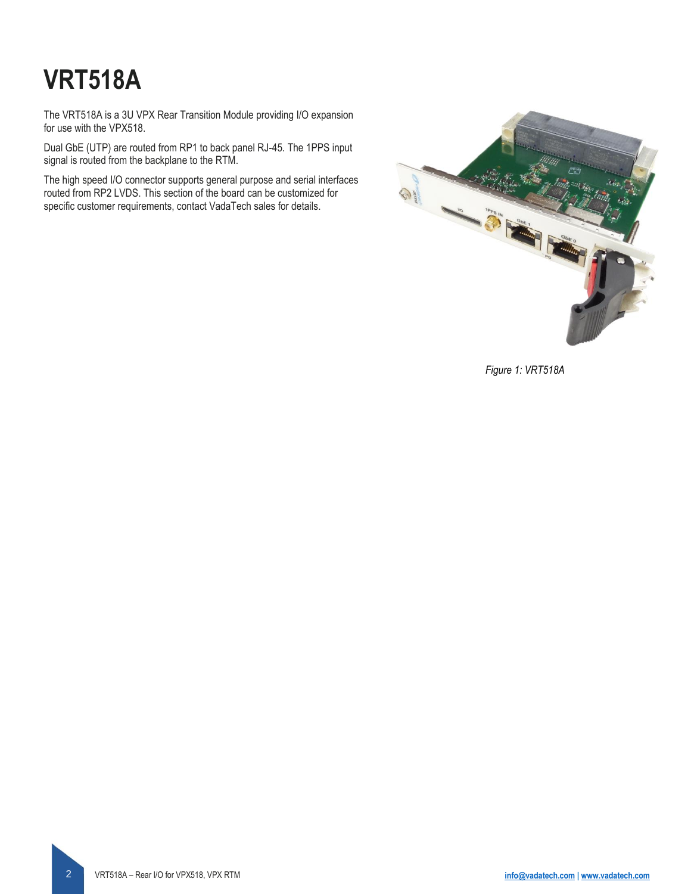# **VRT518A**

The VRT518A is a 3U VPX Rear Transition Module providing I/O expansion for use with the VPX518.

Dual GbE (UTP) are routed from RP1 to back panel RJ-45. The 1PPS input signal is routed from the backplane to the RTM.

The high speed I/O connector supports general purpose and serial interfaces routed from RP2 LVDS. This section of the board can be customized for specific customer requirements, contact VadaTech sales for details.



*Figure 1: VRT518A*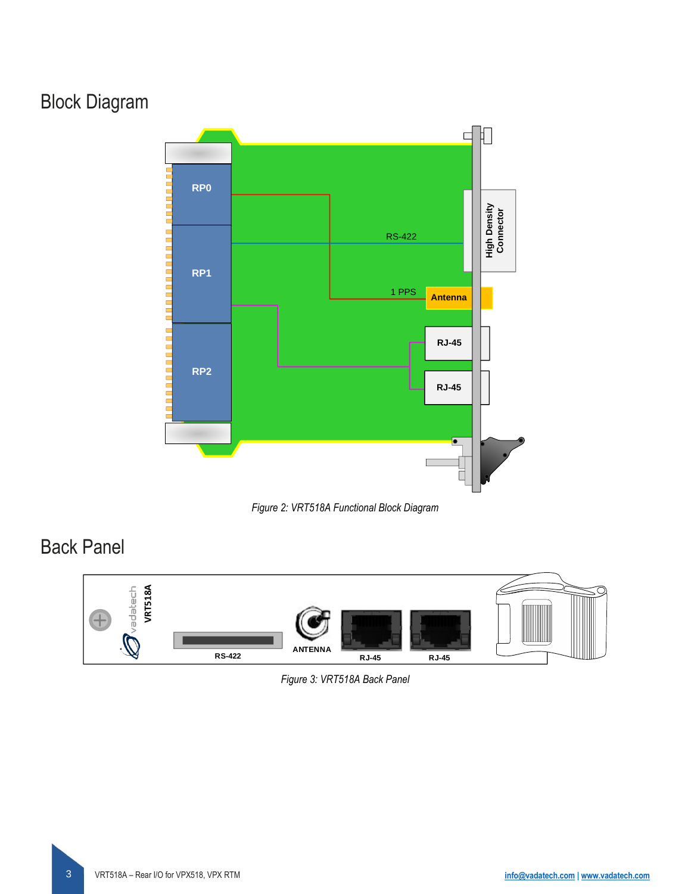### Block Diagram





### Back Panel



#### *Figure 3: VRT518A Back Panel*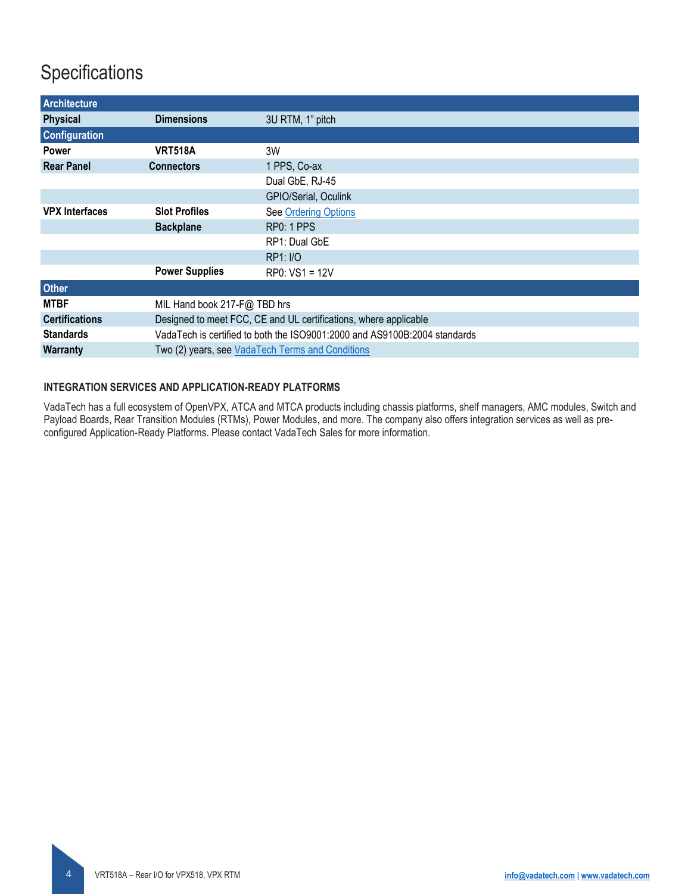### **Specifications**

<span id="page-3-0"></span>

| <b>Architecture</b>   |                       |                                                                           |  |  |  |
|-----------------------|-----------------------|---------------------------------------------------------------------------|--|--|--|
| <b>Physical</b>       | <b>Dimensions</b>     | 3U RTM, 1" pitch                                                          |  |  |  |
| <b>Configuration</b>  |                       |                                                                           |  |  |  |
| Power                 | <b>VRT518A</b>        | 3W                                                                        |  |  |  |
| <b>Rear Panel</b>     | <b>Connectors</b>     | 1 PPS, Co-ax                                                              |  |  |  |
|                       |                       | Dual GbE, RJ-45                                                           |  |  |  |
|                       |                       | GPIO/Serial, Oculink                                                      |  |  |  |
| <b>VPX Interfaces</b> | <b>Slot Profiles</b>  | See Ordering Options                                                      |  |  |  |
|                       | <b>Backplane</b>      | RP0: 1 PPS                                                                |  |  |  |
|                       |                       | RP1: Dual GbE                                                             |  |  |  |
|                       |                       | <b>RP1: I/O</b>                                                           |  |  |  |
|                       | <b>Power Supplies</b> | RP0: VS1 = 12V                                                            |  |  |  |
| <b>Other</b>          |                       |                                                                           |  |  |  |
| <b>MTBF</b>           |                       | MIL Hand book 217-F@ TBD hrs                                              |  |  |  |
| <b>Certifications</b> |                       | Designed to meet FCC, CE and UL certifications, where applicable          |  |  |  |
| <b>Standards</b>      |                       | VadaTech is certified to both the ISO9001:2000 and AS9100B:2004 standards |  |  |  |
| <b>Warranty</b>       |                       | Two (2) years, see VadaTech Terms and Conditions                          |  |  |  |

#### **INTEGRATION SERVICES AND APPLICATION-READY PLATFORMS**

VadaTech has a full ecosystem of OpenVPX, ATCA and MTCA products including chassis platforms, shelf managers, AMC modules, Switch and Payload Boards, Rear Transition Modules (RTMs), Power Modules, and more. The company also offers integration services as well as preconfigured Application-Ready Platforms. Please contact VadaTech Sales for more information.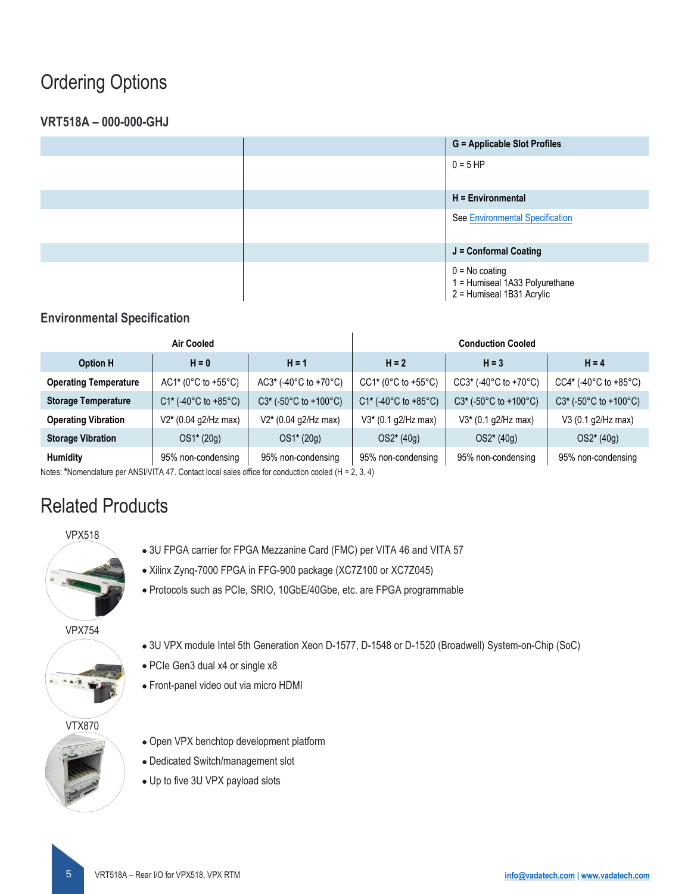### Ordering Options

### **VRT518A – 000-000-GHJ**

|  | <b>G</b> = Applicable Slot Profiles                                             |
|--|---------------------------------------------------------------------------------|
|  | $0 = 5$ HP                                                                      |
|  | $H =$ Environmental                                                             |
|  | See Environmental Specification                                                 |
|  | J = Conformal Coating                                                           |
|  | $0 = No$ coating<br>1 = Humiseal 1A33 Polyurethane<br>2 = Humiseal 1B31 Acrylic |

### <span id="page-4-0"></span>**Environmental Specification**

|                              | Air Cooled             |                         | <b>Conduction Cooled</b> |                                               |                                               |
|------------------------------|------------------------|-------------------------|--------------------------|-----------------------------------------------|-----------------------------------------------|
| <b>Option H</b>              | $H = 0$                | $H = 1$                 | $H = 2$                  | $H = 3$                                       | $H = 4$                                       |
| <b>Operating Temperature</b> | $AC1* (0°C to +55°C)$  | $AC3*$ (-40°C to +70°C) | $CC1* (0°C to +55°C)$    | $CC3*$ (-40 $^{\circ}$ C to +70 $^{\circ}$ C) | $CC4*(-40^{\circ}C \text{ to } +85^{\circ}C)$ |
| <b>Storage Temperature</b>   | $C1*$ (-40°C to +85°C) | $C3*$ (-50°C to +100°C) | $C1*$ (-40°C to +85°C)   | $C3*$ (-50°C to +100°C)                       | $C3*$ (-50°C to +100°C)                       |
| <b>Operating Vibration</b>   | V2* (0.04 g2/Hz max)   | V2* (0.04 g2/Hz max)    | V3* (0.1 g2/Hz max)      | $V3*$ (0.1 g2/Hz max)                         | V3 (0.1 g2/Hz max)                            |
| <b>Storage Vibration</b>     | OS1* (20g)             | $OS1*(20g)$             | $OS2*(40g)$              | $OS2*(40g)$                                   | $OS2*(40g)$                                   |
| <b>Humidity</b>              | 95% non-condensing     | 95% non-condensing      | 95% non-condensing       | 95% non-condensing                            | 95% non-condensing                            |

Notes: **\***Nomenclature per ANSI/VITA 47. Contact local sales office for conduction cooled (H = 2, 3, 4)

### Related Products





- Xilinx Zynq-7000 FPGA in FFG-900 package (XC7Z100 or XC7Z045)
- Protocols such as PCIe, SRIO, 10GbE/40Gbe, etc. are FPGA programmable

#### VPX754

- 
- 3U VPX module Intel 5th Generation Xeon D-1577, D-1548 or D-1520 (Broadwell) System-on-Chip (SoC)
- PCIe Gen3 dual x4 or single x8
- Front-panel video out via micro HDMI

#### VTX870



- Open VPX benchtop development platform
- Dedicated Switch/management slot
- Up to five 3U VPX payload slots